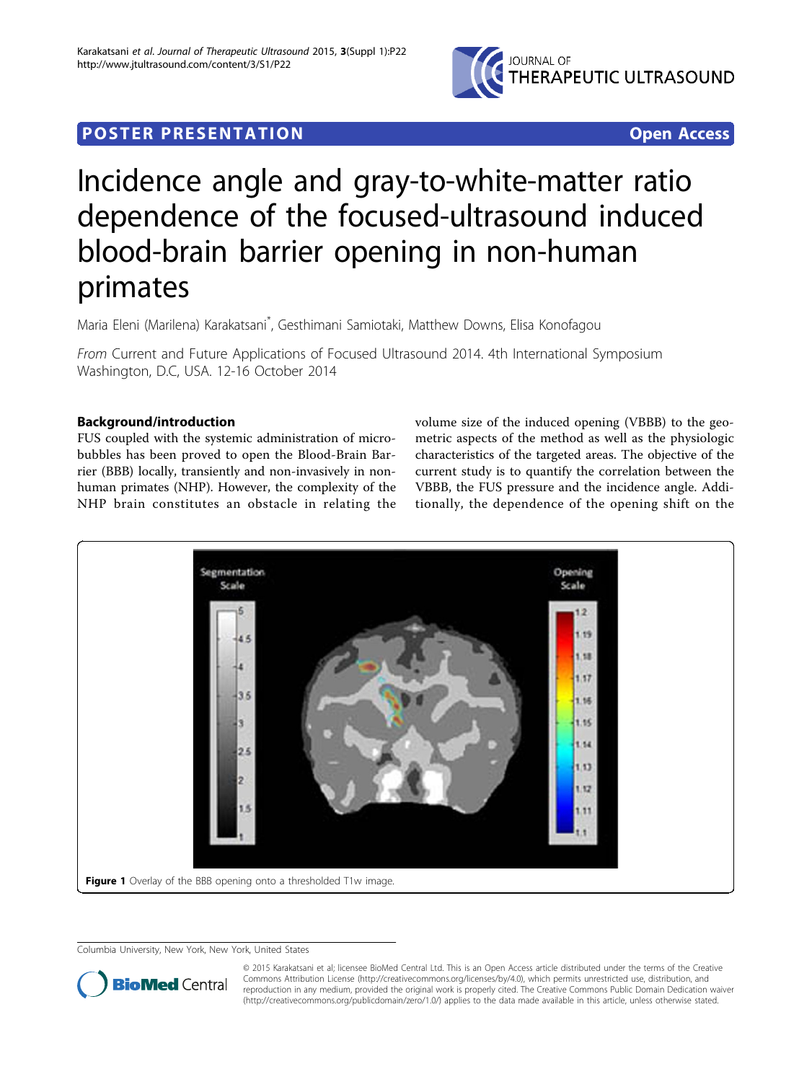

## **POSTER PRESENTATION CONSUMING ACCESS**

# Incidence angle and gray-to-white-matter ratio dependence of the focused-ultrasound induced blood-brain barrier opening in non-human primates

Maria Eleni (Marilena) Karakatsani\* , Gesthimani Samiotaki, Matthew Downs, Elisa Konofagou

From Current and Future Applications of Focused Ultrasound 2014. 4th International Symposium Washington, D.C, USA. 12-16 October 2014

### Background/introduction

FUS coupled with the systemic administration of microbubbles has been proved to open the Blood-Brain Barrier (BBB) locally, transiently and non-invasively in nonhuman primates (NHP). However, the complexity of the NHP brain constitutes an obstacle in relating the volume size of the induced opening (VBBB) to the geometric aspects of the method as well as the physiologic characteristics of the targeted areas. The objective of the current study is to quantify the correlation between the VBBB, the FUS pressure and the incidence angle. Additionally, the dependence of the opening shift on the



Columbia University, New York, New York, United States



© 2015 Karakatsani et al; licensee BioMed Central Ltd. This is an Open Access article distributed under the terms of the Creative Commons Attribution License [\(http://creativecommons.org/licenses/by/4.0](http://creativecommons.org/licenses/by/4.0)), which permits unrestricted use, distribution, and reproduction in any medium, provided the original work is properly cited. The Creative Commons Public Domain Dedication waiver [\(http://creativecommons.org/publicdomain/zero/1.0/](http://creativecommons.org/publicdomain/zero/1.0/)) applies to the data made available in this article, unless otherwise stated.